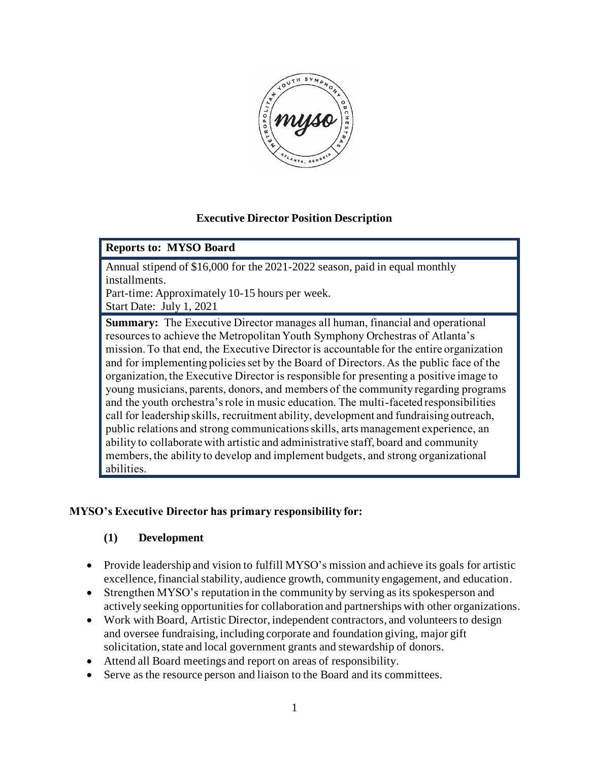

## **Executive Director Position Description**

#### **Reports to: MYSO Board**

Annual stipend of \$16,000 for the 2021-2022 season, paid in equal monthly installments.

Part-time: Approximately 10-15 hours per week.

Start Date: July 1, 2021

**Summary:** The Executive Director manages all human, financial and operational resources to achieve the Metropolitan Youth Symphony Orchestras of Atlanta's mission. To that end, the Executive Director is accountable for the entire organization and for implementing policies set by the Board of Directors. As the public face of the organization, the Executive Director is responsible for presenting a positive image to young musicians, parents, donors, and members of the community regarding programs and the youth orchestra's role in music education. The multi-faceted responsibilities call for leadership skills, recruitment ability, development and fundraising outreach, public relations and strong communications skills, arts management experience, an ability to collaborate with artistic and administrative staff, board and community members, the ability to develop and implement budgets, and strong organizational abilities.

## **MYSO's Executive Director has primary responsibility for:**

## **(1) Development**

- Provide leadership and vision to fulfill MYSO's mission and achieve its goals for artistic excellence, financial stability, audience growth, community engagement, and education.
- Strengthen MYSO's reputation in the community by serving as its spokesperson and actively seeking opportunities for collaboration and partnerships with other organizations.
- Work with Board, Artistic Director, independent contractors, and volunteers to design and oversee fundraising, including corporate and foundation giving, major gift solicitation, state and local government grants and stewardship of donors.
- Attend all Board meetings and report on areas of responsibility.
- Serve as the resource person and liaison to the Board and its committees.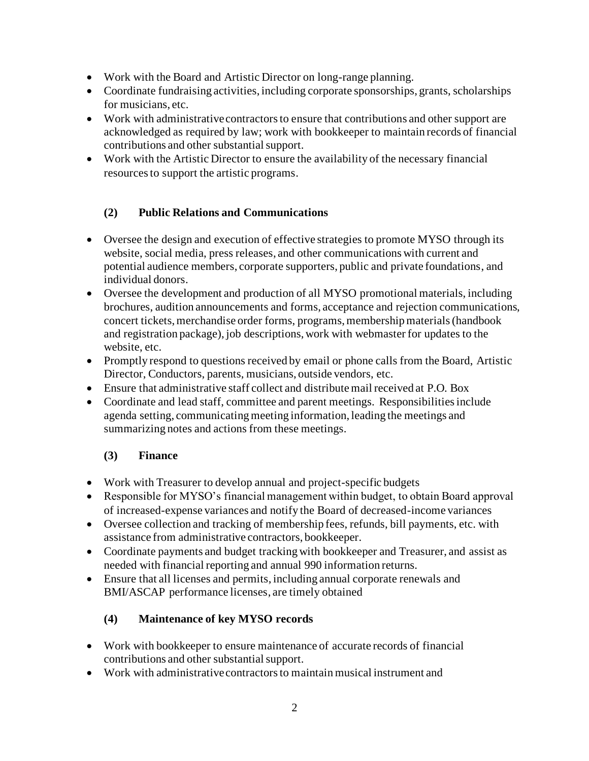- Work with the Board and Artistic Director on long-range planning.
- Coordinate fundraising activities, including corporate sponsorships, grants, scholarships for musicians, etc.
- Work with administrative contractors to ensure that contributions and other support are acknowledged as required by law; work with bookkeeper to maintain records of financial contributions and other substantial support.
- Work with the Artistic Director to ensure the availability of the necessary financial resources to support the artistic programs.

# **(2) Public Relations and Communications**

- Oversee the design and execution of effective strategies to promote MYSO through its website, social media, press releases, and other communications with current and potential audience members, corporate supporters, public and private foundations, and individual donors.
- Oversee the development and production of all MYSO promotional materials, including brochures, audition announcements and forms, acceptance and rejection communications, concert tickets, merchandise order forms, programs, membership materials (handbook and registration package), job descriptions, work with webmaster for updates to the website, etc.
- Promptly respond to questions received by email or phone calls from the Board, Artistic Director, Conductors, parents, musicians, outside vendors, etc.
- Ensure that administrative staff collect and distribute mail received at P.O. Box
- Coordinate and lead staff, committee and parent meetings. Responsibilities include agenda setting, communicating meeting information, leading the meetings and summarizing notes and actions from these meetings.

## **(3) Finance**

- Work with Treasurer to develop annual and project-specific budgets
- Responsible for MYSO's financial management within budget, to obtain Board approval of increased-expense variances and notify the Board of decreased-income variances
- Oversee collection and tracking of membership fees, refunds, bill payments, etc. with assistance from administrative contractors, bookkeeper.
- Coordinate payments and budget tracking with bookkeeper and Treasurer, and assist as needed with financial reporting and annual 990 information returns.
- Ensure that all licenses and permits, including annual corporate renewals and BMI/ASCAP performance licenses, are timely obtained

## **(4) Maintenance of key MYSO records**

- Work with bookkeeper to ensure maintenance of accurate records of financial contributions and other substantial support.
- Work with administrative contractors to maintain musical instrument and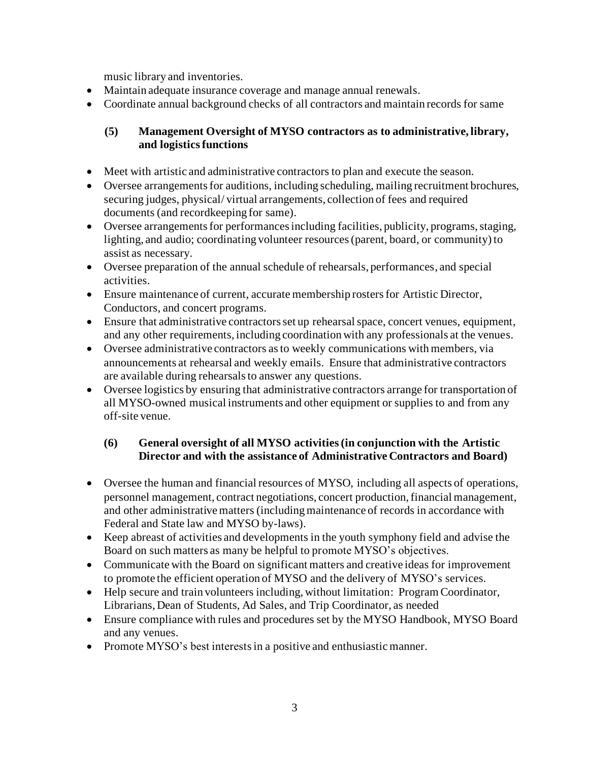music library and inventories.

- Maintain adequate insurance coverage and manage annual renewals.
- Coordinate annual background checks of all contractors and maintain records for same

## **(5) Management Oversight of MYSO contractors as to administrative, library, and logistics functions**

- Meet with artistic and administrative contractors to plan and execute the season.
- Oversee arrangements for auditions, including scheduling, mailing recruitment brochures, securing judges, physical/ virtual arrangements, collection of fees and required documents (and recordkeeping for same).
- Oversee arrangements for performances including facilities, publicity, programs, staging, lighting, and audio; coordinating volunteer resources (parent, board, or community) to assist as necessary.
- Oversee preparation of the annual schedule of rehearsals, performances, and special activities.
- Ensure maintenance of current, accurate membership rosters for Artistic Director, Conductors, and concert programs.
- Ensure that administrative contractors set up rehearsal space, concert venues, equipment, and any other requirements, including coordination with any professionals at the venues.
- Oversee administrative contractors as to weekly communications with members, via announcements at rehearsal and weekly emails. Ensure that administrative contractors are available during rehearsals to answer any questions.
- Oversee logistics by ensuring that administrative contractors arrange for transportation of all MYSO-owned musical instruments and other equipment or supplies to and from any off-site venue.

## **(6) General oversight of all MYSO activities (in conjunction with the Artistic Director and with the assistance of Administrative Contractors and Board)**

- Oversee the human and financial resources of MYSO, including all aspects of operations, personnel management, contract negotiations, concert production, financial management, and other administrative matters (including maintenance of records in accordance with Federal and State law and MYSO by-laws).
- Keep abreast of activities and developments in the youth symphony field and advise the Board on such matters as many be helpful to promote MYSO's objectives.
- Communicate with the Board on significant matters and creative ideas for improvement to promote the efficient operation of MYSO and the delivery of MYSO's services.
- Help secure and train volunteers including, without limitation: Program Coordinator, Librarians, Dean of Students, Ad Sales, and Trip Coordinator, as needed
- Ensure compliance with rules and procedures set by the MYSO Handbook, MYSO Board and any venues.
- Promote MYSO's best interests in a positive and enthusiastic manner.